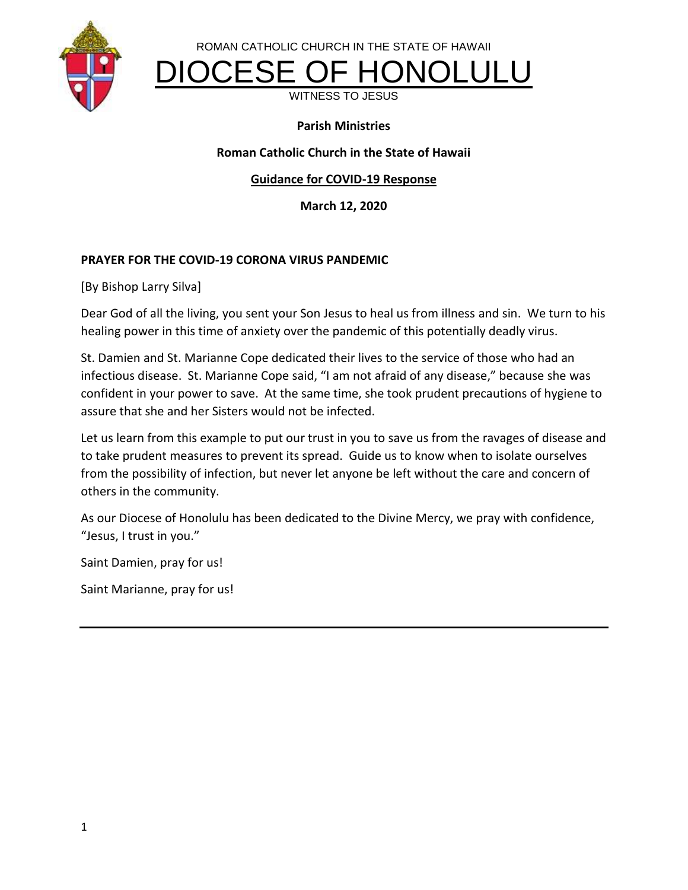



DIOCESE OF HONOLULU

WITNESS TO JESUS

#### **Parish Ministries**

#### **Roman Catholic Church in the State of Hawaii**

#### **Guidance for COVID-19 Response**

**March 12, 2020**

#### **PRAYER FOR THE COVID-19 CORONA VIRUS PANDEMIC**

[By Bishop Larry Silva]

Dear God of all the living, you sent your Son Jesus to heal us from illness and sin. We turn to his healing power in this time of anxiety over the pandemic of this potentially deadly virus.

St. Damien and St. Marianne Cope dedicated their lives to the service of those who had an infectious disease. St. Marianne Cope said, "I am not afraid of any disease," because she was confident in your power to save. At the same time, she took prudent precautions of hygiene to assure that she and her Sisters would not be infected.

Let us learn from this example to put our trust in you to save us from the ravages of disease and to take prudent measures to prevent its spread. Guide us to know when to isolate ourselves from the possibility of infection, but never let anyone be left without the care and concern of others in the community.

As our Diocese of Honolulu has been dedicated to the Divine Mercy, we pray with confidence, "Jesus, I trust in you."

Saint Damien, pray for us!

Saint Marianne, pray for us!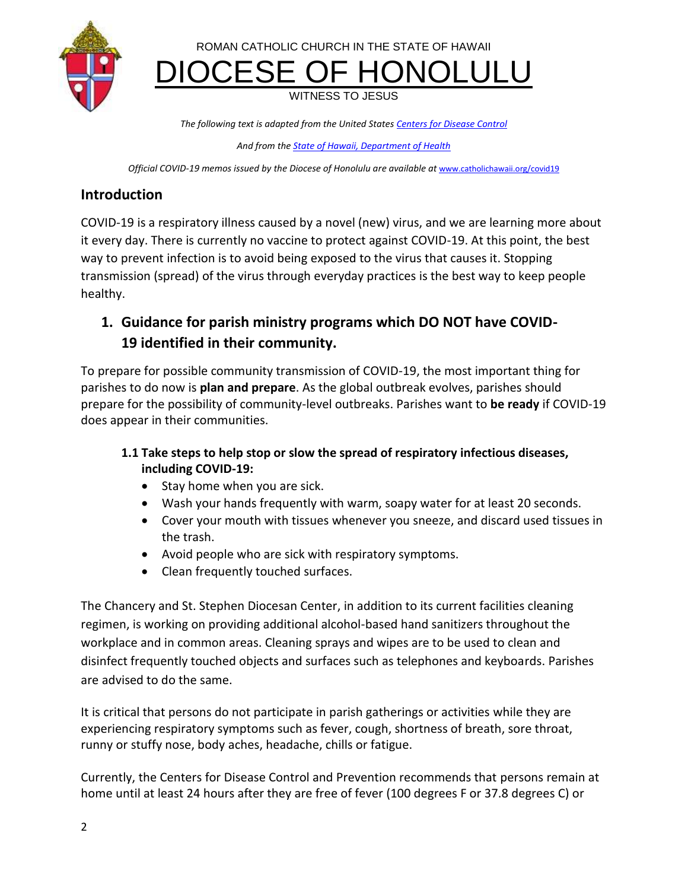

ROMAN CATHOLIC CHURCH IN THE STATE OF HAWAII DIOCESE OF HONOLULU

WITNESS TO JESUS

*The following text is adapted from the United States Centers [for Disease Control](https://www.cdc.gov/coronavirus/2019-ncov/index.html)*

*And from the [State of Hawaii, Department of Health](https://health.hawaii.gov/docd/advisories/novel-coronavirus-2019/)*

*Official COVID-19 memos issued by the Diocese of Honolulu are available at [www.catholichawaii.org/covid19](https://linkprotect.cudasvc.com/url?a=http%3a%2f%2fwww.catholichawaii.org%2fcovid19&c=E,1,t-WDlbd5jXnT3tsVAGp_FJeXNsh4o32iD4cnr1181oTuvLtjVFRtaFqdQkbgJug-aIZ1MR6XrUHXgHCaFPRw8bkBLDsSTknhLsMSIVxf&typo=1)* 

## **Introduction**

COVID-19 is a respiratory illness caused by a novel (new) virus, and we are learning more about it every day. There is currently no vaccine to protect against COVID-19. At this point, the best way to prevent infection is to avoid being exposed to the virus that causes it. Stopping transmission (spread) of the virus through everyday practices is the best way to keep people healthy.

## **1. Guidance for parish ministry programs which DO NOT have COVID-19 identified in their community.**

To prepare for possible community transmission of COVID-19, the most important thing for parishes to do now is **plan and prepare**. As the global outbreak evolves, parishes should prepare for the possibility of community-level outbreaks. Parishes want to **be ready** if COVID-19 does appear in their communities.

### **1.1 Take steps to help stop or slow the spread of respiratory infectious diseases, including COVID-19:**

- Stay home when you are sick.
- Wash your hands frequently with warm, soapy water for at least 20 seconds.
- Cover your mouth with tissues whenever you sneeze, and discard used tissues in the trash.
- Avoid people who are sick with respiratory symptoms.
- Clean frequently touched surfaces.

The Chancery and St. Stephen Diocesan Center, in addition to its current facilities cleaning regimen, is working on providing additional alcohol-based hand sanitizers throughout the workplace and in common areas. Cleaning sprays and wipes are to be used to clean and disinfect frequently touched objects and surfaces such as telephones and keyboards. Parishes are advised to do the same.

It is critical that persons do not participate in parish gatherings or activities while they are experiencing respiratory symptoms such as fever, cough, shortness of breath, sore throat, runny or stuffy nose, body aches, headache, chills or fatigue.

Currently, the Centers for Disease Control and Prevention recommends that persons remain at home until at least 24 hours after they are free of fever (100 degrees F or 37.8 degrees C) or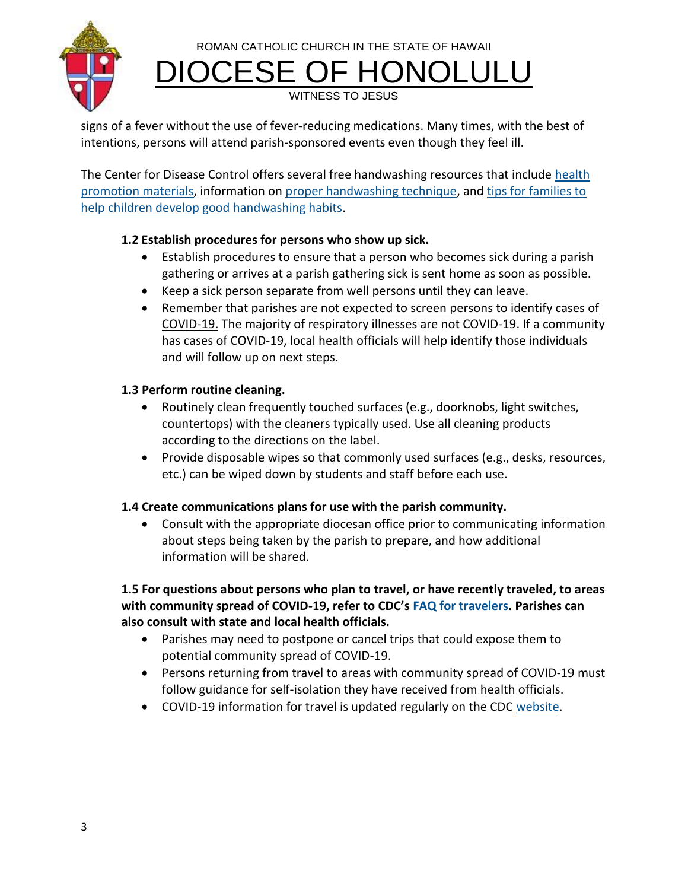ROMAN CATHOLIC CHURCH IN THE STATE OF HAWAII



DIOCESE OF HONOLULU

WITNESS TO JESUS

signs of a fever without the use of fever-reducing medications. Many times, with the best of intentions, persons will attend parish-sponsored events even though they feel ill.

The Center for Disease Control offers several free handwashing resources that include [health](http://www.cdc.gov/handwashing/materials.html)  [promotion materials,](http://www.cdc.gov/handwashing/materials.html) information on [proper handwashing technique,](https://www.cdc.gov/handwashing/when-how-handwashing.html) and [tips for families to](https://www.cdc.gov/handwashing/handwashing-family.html)  [help children develop good handwashing habits.](https://www.cdc.gov/handwashing/handwashing-family.html)

## **1.2 Establish procedures for persons who show up sick.**

- Establish procedures to ensure that a person who becomes sick during a parish gathering or arrives at a parish gathering sick is sent home as soon as possible.
- Keep a sick person separate from well persons until they can leave.
- Remember that parishes are not expected to screen persons to identify cases of COVID-19. The majority of respiratory illnesses are not COVID-19. If a community has cases of COVID-19, local health officials will help identify those individuals and will follow up on next steps.

## **1.3 Perform routine cleaning.**

- Routinely clean frequently touched surfaces (e.g., doorknobs, light switches, countertops) with the cleaners typically used. Use all cleaning products according to the directions on the label.
- Provide disposable wipes so that commonly used surfaces (e.g., desks, resources, etc.) can be wiped down by students and staff before each use.

## **1.4 Create communications plans for use with the parish community.**

 Consult with the appropriate diocesan office prior to communicating information about steps being taken by the parish to prepare, and how additional information will be shared.

**1.5 For questions about persons who plan to travel, or have recently traveled, to areas with community spread of COVID-19, refer to CDC's [FAQ for travelers.](https://www.cdc.gov/coronavirus/2019-ncov/travelers/faqs.html) Parishes can also consult with state and local health officials.**

- Parishes may need to postpone or cancel trips that could expose them to potential community spread of COVID-19.
- Persons returning from travel to areas with community spread of COVID-19 must follow guidance for self-isolation they have received from health officials.
- COVID-19 information for travel is updated regularly on the CDC [website.](https://www.cdc.gov/coronavirus/2019-ncov/travelers/index.html)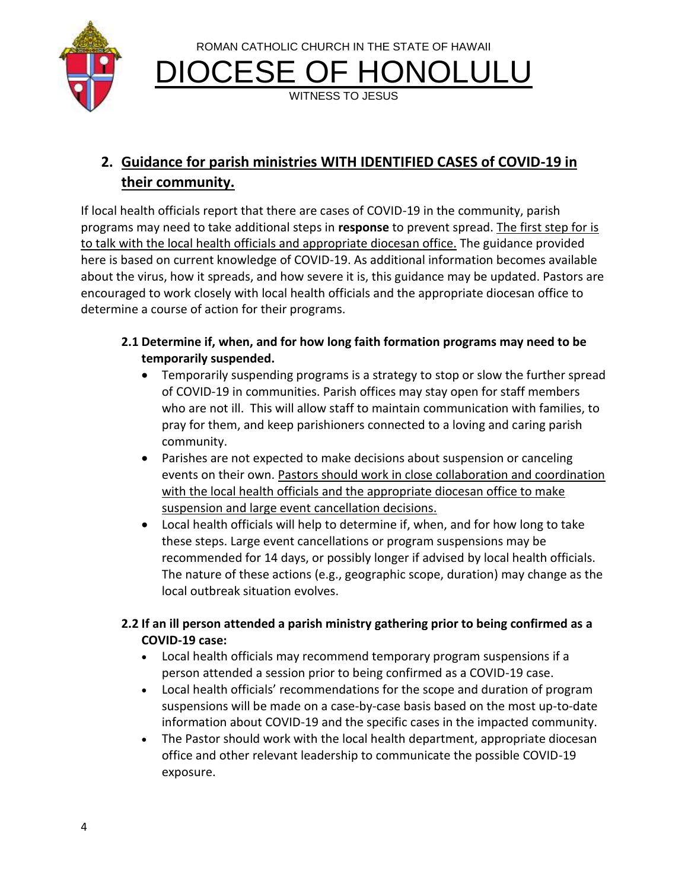

ROMAN CATHOLIC CHURCH IN THE STATE OF HAWAII DIOCESE OF HONOLULU

WITNESS TO JESUS

# **2. Guidance for parish ministries WITH IDENTIFIED CASES of COVID-19 in their community.**

If local health officials report that there are cases of COVID-19 in the community, parish programs may need to take additional steps in **response** to prevent spread. The first step for is to talk with the local health officials and appropriate diocesan office. The guidance provided here is based on current knowledge of COVID-19. As additional information becomes available about the virus, how it spreads, and how severe it is, this guidance may be updated. Pastors are encouraged to work closely with local health officials and the appropriate diocesan office to determine a course of action for their programs.

- **2.1 Determine if, when, and for how long faith formation programs may need to be temporarily suspended.**
	- Temporarily suspending programs is a strategy to stop or slow the further spread of COVID-19 in communities. Parish offices may stay open for staff members who are not ill. This will allow staff to maintain communication with families, to pray for them, and keep parishioners connected to a loving and caring parish community.
	- Parishes are not expected to make decisions about suspension or canceling events on their own. Pastors should work in close collaboration and coordination with the local health officials and the appropriate diocesan office to make suspension and large event cancellation decisions.
	- Local health officials will help to determine if, when, and for how long to take these steps. Large event cancellations or program suspensions may be recommended for 14 days, or possibly longer if advised by local health officials. The nature of these actions (e.g., geographic scope, duration) may change as the local outbreak situation evolves.

### **2.2 If an ill person attended a parish ministry gathering prior to being confirmed as a COVID-19 case:**

- Local health officials may recommend temporary program suspensions if a person attended a session prior to being confirmed as a COVID-19 case.
- Local health officials' recommendations for the scope and duration of program suspensions will be made on a case-by-case basis based on the most up-to-date information about COVID-19 and the specific cases in the impacted community.
- The Pastor should work with the local health department, appropriate diocesan office and other relevant leadership to communicate the possible COVID-19 exposure.